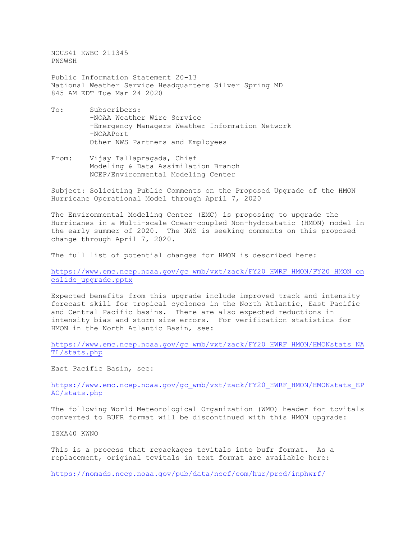NOUS41 KWBC 211345 PNSWSH

Public Information Statement 20-13 National Weather Service Headquarters Silver Spring MD 845 AM EDT Tue Mar 24 2020

- To: Subscribers: -NOAA Weather Wire Service -Emergency Managers Weather Information Network -NOAAPort Other NWS Partners and Employees
- From: Vijay Tallapragada, Chief Modeling & Data Assimilation Branch NCEP/Environmental Modeling Center

Subject: Soliciting Public Comments on the Proposed Upgrade of the HMON Hurricane Operational Model through April 7, 2020

The Environmental Modeling Center (EMC) is proposing to upgrade the Hurricanes in a Multi-scale Ocean-coupled Non-hydrostatic (HMON) model in the early summer of 2020. The NWS is seeking comments on this proposed change through April 7, 2020.

The full list of potential changes for HMON is described here:

[https://www.emc.ncep.noaa.gov/gc\\_wmb/vxt/zack/FY20\\_HWRF\\_HMON/FY20\\_HMON\\_on](https://www.emc.ncep.noaa.gov/gc_wmb/vxt/zack/FY20_HWRF_HMON/FY20_HMON_oneslide_upgrade.pptx) [eslide\\_upgrade.pptx](https://www.emc.ncep.noaa.gov/gc_wmb/vxt/zack/FY20_HWRF_HMON/FY20_HMON_oneslide_upgrade.pptx)

Expected benefits from this upgrade include improved track and intensity forecast skill for tropical cyclones in the North Atlantic, East Pacific and Central Pacific basins. There are also expected reductions in intensity bias and storm size errors. For verification statistics for HMON in the North Atlantic Basin, see:

East Pacific Basin, see:

[https://www.emc.ncep.noaa.gov/gc\\_wmb/vxt/zack/FY20\\_HWRF\\_HMON/HMONstats\\_EP](https://www.emc.ncep.noaa.gov/gc_wmb/vxt/zack/FY20_HWRF_HMON/HMONstats_EPAC/stats.php) [AC/stats.php](https://www.emc.ncep.noaa.gov/gc_wmb/vxt/zack/FY20_HWRF_HMON/HMONstats_EPAC/stats.php)

The following World Meteorological Organization (WMO) header for tcvitals converted to BUFR format will be discontinued with this HMON upgrade:

ISXA40 KWNO

This is a process that repackages tcvitals into bufr format. As a replacement, original tcvitals in text format are available here:

<https://nomads.ncep.noaa.gov/pub/data/nccf/com/hur/prod/inphwrf/>

[https://www.emc.ncep.noaa.gov/gc\\_wmb/vxt/zack/FY20\\_HWRF\\_HMON/HMONstats\\_NA](https://www.emc.ncep.noaa.gov/gc_wmb/vxt/zack/FY20_HWRF_HMON/HMONstats_NATL/stats.php) [TL/stats.php](https://www.emc.ncep.noaa.gov/gc_wmb/vxt/zack/FY20_HWRF_HMON/HMONstats_NATL/stats.php)